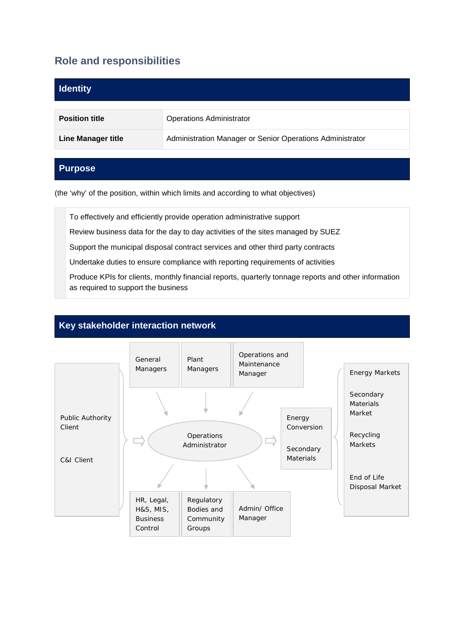# **Role and responsibilities**

| <b>Identity</b>           |                                                           |
|---------------------------|-----------------------------------------------------------|
| <b>Position title</b>     | <b>Operations Administrator</b>                           |
| <b>Line Manager title</b> | Administration Manager or Senior Operations Administrator |

## **Purpose**

(the 'why' of the position, within which limits and according to what objectives)

To effectively and efficiently provide operation administrative support

Review business data for the day to day activities of the sites managed by SUEZ

Support the municipal disposal contract services and other third party contracts

Undertake duties to ensure compliance with reporting requirements of activities

Produce KPIs for clients, monthly financial reports, quarterly tonnage reports and other information as required to support the business

## **Key stakeholder interaction network**

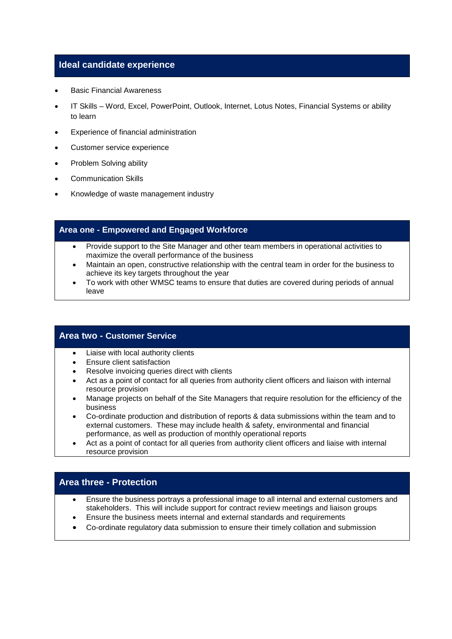### **Ideal candidate experience**

- Basic Financial Awareness
- IT Skills Word, Excel, PowerPoint, Outlook, Internet, Lotus Notes, Financial Systems or ability to learn
- Experience of financial administration
- Customer service experience
- Problem Solving ability
- Communication Skills
- Knowledge of waste management industry

### **Area one - Empowered and Engaged Workforce**

- Provide support to the Site Manager and other team members in operational activities to maximize the overall performance of the business
- Maintain an open, constructive relationship with the central team in order for the business to achieve its key targets throughout the year
- To work with other WMSC teams to ensure that duties are covered during periods of annual leave

#### **Area two - Customer Service**

- Liaise with local authority clients
- Ensure client satisfaction
- Resolve invoicing queries direct with clients
- Act as a point of contact for all queries from authority client officers and liaison with internal resource provision
- Manage projects on behalf of the Site Managers that require resolution for the efficiency of the business
- Co-ordinate production and distribution of reports & data submissions within the team and to external customers. These may include health & safety, environmental and financial performance, as well as production of monthly operational reports
- Act as a point of contact for all queries from authority client officers and liaise with internal resource provision

## **Area three - Protection**

- Ensure the business portrays a professional image to all internal and external customers and stakeholders. This will include support for contract review meetings and liaison groups
- Ensure the business meets internal and external standards and requirements
- Co-ordinate regulatory data submission to ensure their timely collation and submission